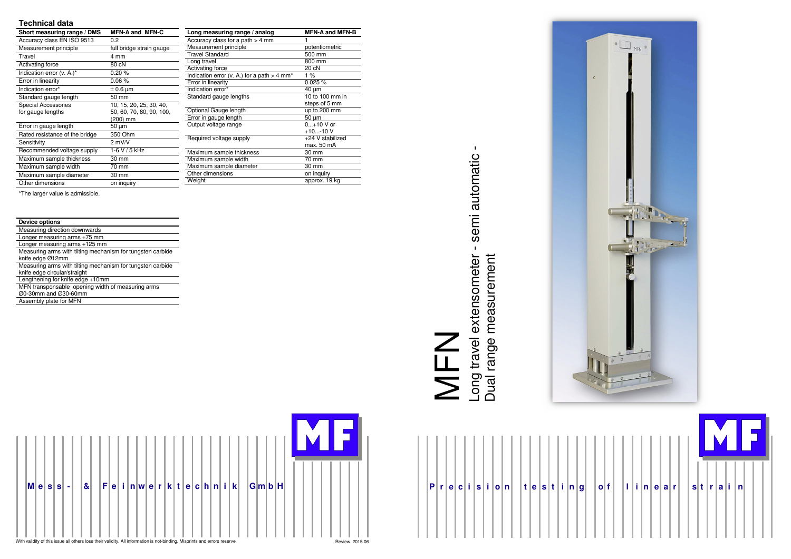|  | P r e c i s i o n |  |  |  |  |  |  |  |  |  |  |  |  |  |  |  |  |
|--|-------------------|--|--|--|--|--|--|--|--|--|--|--|--|--|--|--|--|
|--|-------------------|--|--|--|--|--|--|--|--|--|--|--|--|--|--|--|--|





### **Technical data**

| Short measuring range / DMS    | <b>MFN-A and MFN-C</b>   |
|--------------------------------|--------------------------|
| Accuracy class EN ISO 9513     | 0.2                      |
| Measurement principle          | full bridge strain gauge |
| Travel                         | 4 mm                     |
| Activating force               | 80 cN                    |
| Indication error (v. A.)*      | 0.20%                    |
| Error in linearity             | $0.06\%$                 |
| Indication error*              | $\pm$ 0.6 µm             |
| Standard gauge length          | 50 mm                    |
| Special Accessories            | 10, 15, 20, 25, 30, 40,  |
| for gauge lengths              | 50, 60, 70, 80, 90, 100, |
|                                | (200) mm                 |
| Error in gauge length          | 50 µm                    |
| Rated resistance of the bridge | 350 Ohm                  |
| Sensitivity                    | $2$ mV/V                 |
| Recommended voltage supply     | 1-6 V / 5 kHz            |
| Maximum sample thickness       | 30 mm                    |
| Maximum sample width           | 70 mm                    |
| Maximum sample diameter        | 30 mm                    |
| Other dimensions               | on inguiry               |

\*The larger value is admissible.

Long travel extensometer - semi automatic -<br>Dual range measurement Long travel extensometer - semi automatic - MFN

| <b>Device options</b>                                                          |
|--------------------------------------------------------------------------------|
| Measuring direction downwards                                                  |
| Longer measuring arms +75 mm                                                   |
| Longer measuring arms +125 mm                                                  |
| Measuring arms with tilting mechanism for tungsten carbide<br>knife edge Ø12mm |
| Measuring arms with tilting mechanism for tungsten carbide                     |
| knife edge circular/straight                                                   |
| Lengthening for knife edge +10mm                                               |
| MFN transponsable opening width of measuring arms                              |
| Ø0-30mm and Ø30-60mm                                                           |
| Assembly plate for MFN                                                         |

| Long measuring range / analog                             | <b>MFN-A and MFN-B</b> |
|-----------------------------------------------------------|------------------------|
| Accuracy class for a path $>$ 4 mm                        | 1                      |
| Measurement principle                                     | potentiometric         |
| <b>Travel Standard</b>                                    | 500 mm                 |
| Long travel                                               | 800 mm                 |
| Activating force                                          | 20 cN                  |
| Indication error (v. A.) for a path $>$ 4 mm <sup>*</sup> | 1%                     |
| Error in linearity                                        | $0.025 \%$             |
| Indication error*                                         | 40 um                  |
| Standard gauge lengths                                    | 10 to 100 mm in        |
|                                                           | steps of 5 mm          |
| Optional Gauge length                                     | up to 200 mm           |
| Error in gauge length                                     | $50 \mu m$             |
| Output voltage range                                      | $0+10$ V or            |
|                                                           | +10-10 V               |
| Required voltage supply                                   | +24 V stabilized       |
|                                                           | max. 50 mA             |
| Maximum sample thickness                                  | 30 mm                  |
| Maximum sample width                                      | 70 mm                  |
| Maximum sample diameter                                   | 30 mm                  |
| Other dimensions                                          | on inquiry             |
| Weight                                                    | approx. 19 kg          |
|                                                           |                        |

Dual range measurement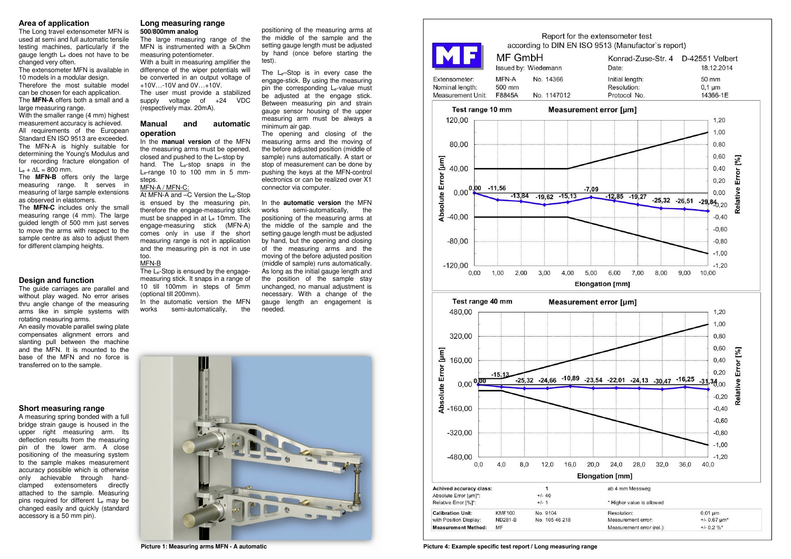### **Area of application**

 The Long travel extensometer MFN is used at semi and full automatic tensile testing machines, particularly if the gauge length Le does not have to be changed very often.

 The **MFN-A** offers both a small and a large measuring range.

 The extensometer MFN is available in 10 models in a modular design.

 Therefore the most suitable model can be chosen for each application.

 With the smaller range (4 mm) highest measurement accuracy is achieved.

 All requirements of the European Standard EN ISO 9513 are exceeded. The MFN-A is highly suitable for determining the Young's Modulus and for recording fracture elongation of Le<sup>+</sup>∆L = 800 mm.

 The **MFN-B** offers only the large measuring range. It serves in measuring of large sample extensions as observed in elastomers.

 The **MFN-C** includes only the small measuring range (4 mm). The large guided length of 500 mm just serves to move the arms with respect to the sample centre as also to adjust them for different clamping heights.

### **Design and function**

 The guide carriages are parallel and without play waged. No error arises thru angle change of the measuring arms like in simple systems with rotating measuring arms.

 In the **manual version** of the MFN the measuring arms must be opened, closed and pushed to the Le-stop by hand. The Le-stop snaps in the Le-range 10 to 100 mm in 5 mmsteps.

 An easily movable parallel swing plate compensates alignment errors and slanting pull between the machine and the MFN. It is mounted to the base of the MFN and no force is transferred on to the sample.

### **Short measuring range**

The Le-Stop is ensued by the engagemeasuring stick. It snaps in a range of 10 till 100mm in steps of 5mm (optional till 200mm).

 In the automatic version the MFN the works semi-automatically,

 A measuring spring bonded with a full bridge strain gauge is housed in the upper right measuring arm. Its deflection results from the measuring pin of the lower arm. A close positioning of the measuring system to the sample makes measurement accuracy possible which is otherwise only achievable through handclamped extensometers directly attached to the sample. Measuring pins required for different L<sub>e</sub> may be changed easily and quickly (standard accessory is a 50 mm pin).

### **Long measuring range500/800mm analog**

 The large measuring range of the MFN is instrumented with a 5kOhm measuring potentiometer. With a built in measuring amplifier the

![](_page_1_Figure_33.jpeg)

**Picture Picture 4: Example specific test report / Long measuring range**

 difference of the wiper potentials will be converted in an output voltage of +10V…-10V and 0V…+10V. The user must provide a stabilized supply voltage of +24 VDC

(respectively max. 20mA).

### **Manual and automatic operation**

### MFN-A / MFN-C:

 At MFN-A and –C Version the Le-Stop is ensued by the measuring pin, therefore the engage-measuring stick must be snapped in at Le 10mm. The engage-measuring stick (MFN-A) comes only in use if the short measuring range is not in application and the measuring pin is not in use too.

### MFN-B

positioning of the measuring arms at the middle of the sample and the setting gauge length must be adjusted by hand (once before starting the test).

The Le–Stop is in every case the engage-stick. By using the measuring pin the corresponding Le-value must be adjusted at the engage stick. Between measuring pin and strain gauge sensor housing of the upper measuring arm must be always a minimum air gap.

 The opening and closing of the measuring arms and the moving of the before adjusted position (middle of sample) runs automatically. A start or stop of measurement can be done by pushing the keys at the MFN-control electronics or can be realized over X1 connector via computer.

In the **automatic version** the MFN the works semi-automatically, positioning of the measuring arms at the middle of the sample and the setting gauge length must be adjusted by hand, but the opening and closing of the measuring arms and the moving of the before adjusted position (middle of sample) runs automatically. As long as the initial gauge length and the position of the sample stay unchanged, no manual adjustment is necessary. With a change of the gauge length an engagement is needed.

![](_page_1_Picture_29.jpeg)

**Picture 1: Measuring arms MFN - A automatic**

![](_page_1_Figure_31.jpeg)

![](_page_1_Figure_32.jpeg)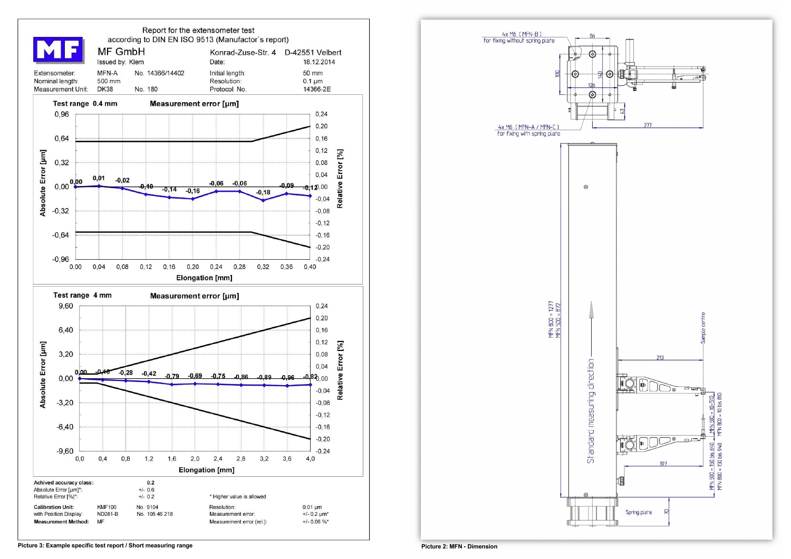![](_page_2_Figure_0.jpeg)

![](_page_2_Figure_1.jpeg)